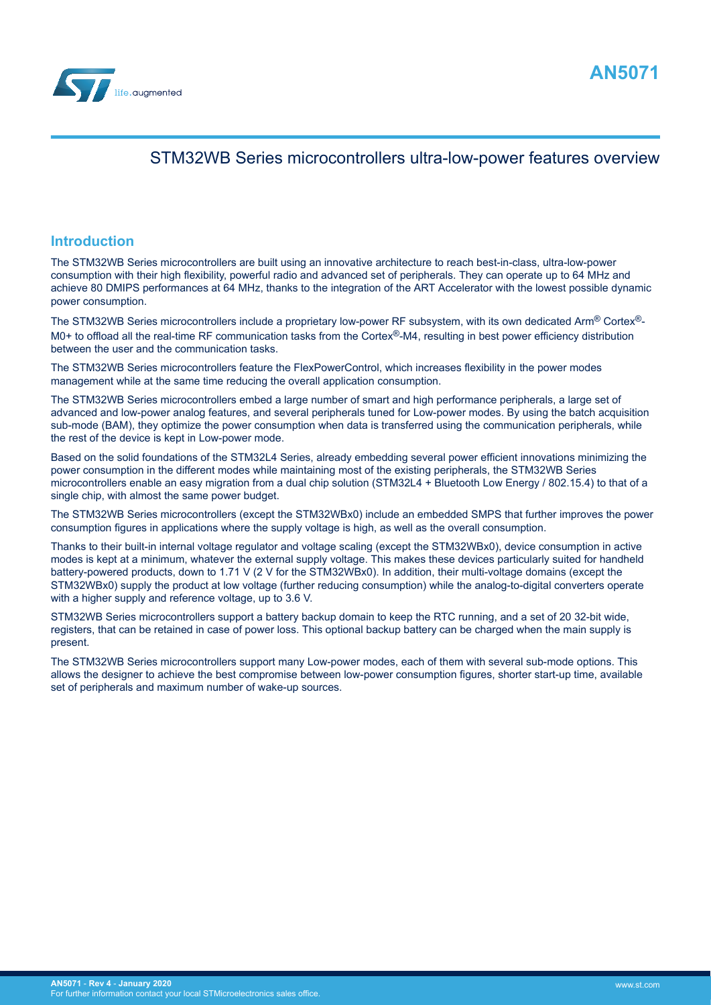<span id="page-0-0"></span>

### STM32WB Series microcontrollers ultra-low-power features overview

### **Introduction**

The STM32WB Series microcontrollers are built using an innovative architecture to reach best-in-class, ultra-low-power consumption with their high flexibility, powerful radio and advanced set of peripherals. They can operate up to 64 MHz and achieve 80 DMIPS performances at 64 MHz, thanks to the integration of the ART Accelerator with the lowest possible dynamic power consumption.

The STM32WB Series microcontrollers include a proprietary low-power RF subsystem, with its own dedicated Arm<sup>®</sup> Cortex<sup>®</sup>-M0+ to offload all the real-time RF communication tasks from the Cortex®-M4, resulting in best power efficiency distribution between the user and the communication tasks.

The STM32WB Series microcontrollers feature the FlexPowerControl, which increases flexibility in the power modes management while at the same time reducing the overall application consumption.

The STM32WB Series microcontrollers embed a large number of smart and high performance peripherals, a large set of advanced and low-power analog features, and several peripherals tuned for Low-power modes. By using the batch acquisition sub-mode (BAM), they optimize the power consumption when data is transferred using the communication peripherals, while the rest of the device is kept in Low-power mode.

Based on the solid foundations of the STM32L4 Series, already embedding several power efficient innovations minimizing the power consumption in the different modes while maintaining most of the existing peripherals, the STM32WB Series microcontrollers enable an easy migration from a dual chip solution (STM32L4 + Bluetooth Low Energy / 802.15.4) to that of a single chip, with almost the same power budget.

The STM32WB Series microcontrollers (except the STM32WBx0) include an embedded SMPS that further improves the power consumption figures in applications where the supply voltage is high, as well as the overall consumption.

Thanks to their built-in internal voltage regulator and voltage scaling (except the STM32WBx0), device consumption in active modes is kept at a minimum, whatever the external supply voltage. This makes these devices particularly suited for handheld battery-powered products, down to 1.71 V (2 V for the STM32WBx0). In addition, their multi-voltage domains (except the STM32WBx0) supply the product at low voltage (further reducing consumption) while the analog-to-digital converters operate with a higher supply and reference voltage, up to 3.6 V.

STM32WB Series microcontrollers support a battery backup domain to keep the RTC running, and a set of 20 32-bit wide, registers, that can be retained in case of power loss. This optional backup battery can be charged when the main supply is present.

The STM32WB Series microcontrollers support many Low-power modes, each of them with several sub-mode options. This allows the designer to achieve the best compromise between low-power consumption figures, shorter start-up time, available set of peripherals and maximum number of wake-up sources.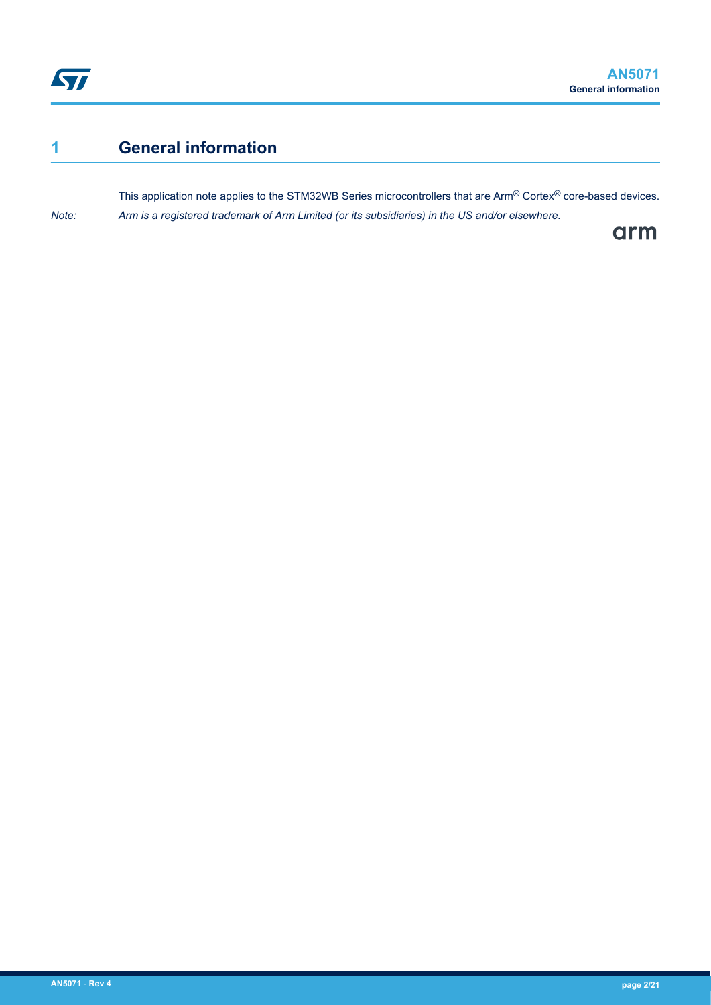## <span id="page-1-0"></span>**1 General information**

This application note applies to the STM32WB Series microcontrollers that are Arm® Cortex® core-based devices. *Note: Arm is a registered trademark of Arm Limited (or its subsidiaries) in the US and/or elsewhere.*

arm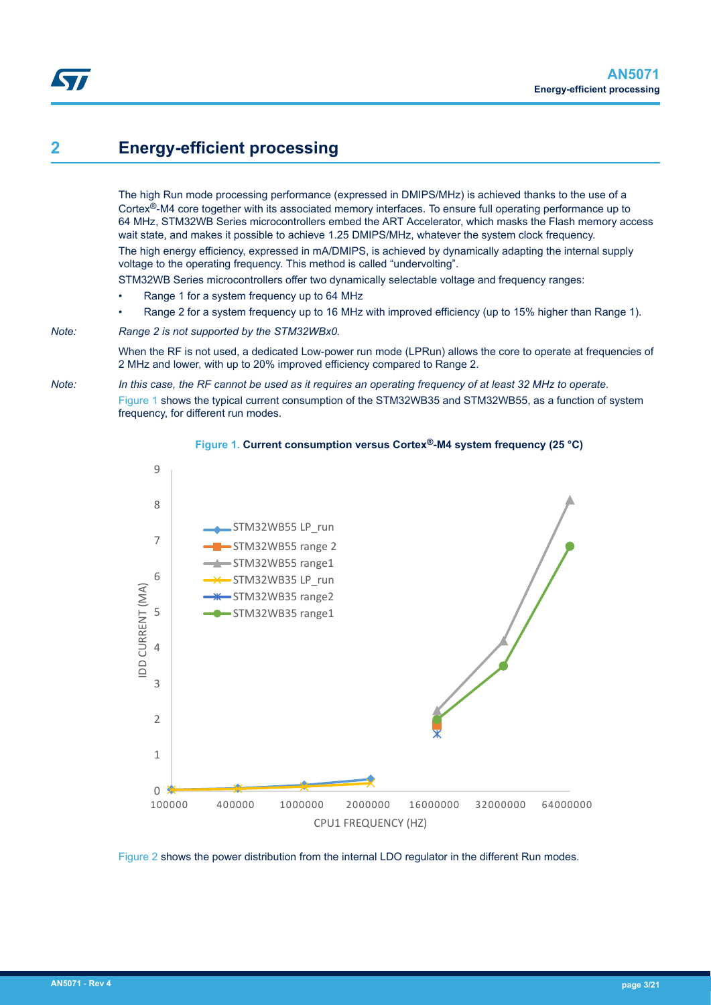## <span id="page-2-0"></span>**2 Energy-efficient processing**

The high Run mode processing performance (expressed in DMIPS/MHz) is achieved thanks to the use of a Cortex®-M4 core together with its associated memory interfaces. To ensure full operating performance up to 64 MHz, STM32WB Series microcontrollers embed the ART Accelerator, which masks the Flash memory access wait state, and makes it possible to achieve 1.25 DMIPS/MHz, whatever the system clock frequency. The high energy efficiency, expressed in mA/DMIPS, is achieved by dynamically adapting the internal supply voltage to the operating frequency. This method is called "undervolting".

STM32WB Series microcontrollers offer two dynamically selectable voltage and frequency ranges:

- Range 1 for a system frequency up to 64 MHz
- Range 2 for a system frequency up to 16 MHz with improved efficiency (up to 15% higher than Range 1).

#### *Note: Range 2 is not supported by the STM32WBx0.*

When the RF is not used, a dedicated Low-power run mode (LPRun) allows the core to operate at frequencies of 2 MHz and lower, with up to 20% improved efficiency compared to Range 2.

*Note: In this case, the RF cannot be used as it requires an operating frequency of at least 32 MHz to operate.* Figure 1 shows the typical current consumption of the STM32WB35 and STM32WB55, as a function of system frequency, for different run modes.



#### **Figure 1. Current consumption versus Cortex®-M4 system frequency (25 °C)**

[Figure 2](#page-3-0) shows the power distribution from the internal LDO regulator in the different Run modes.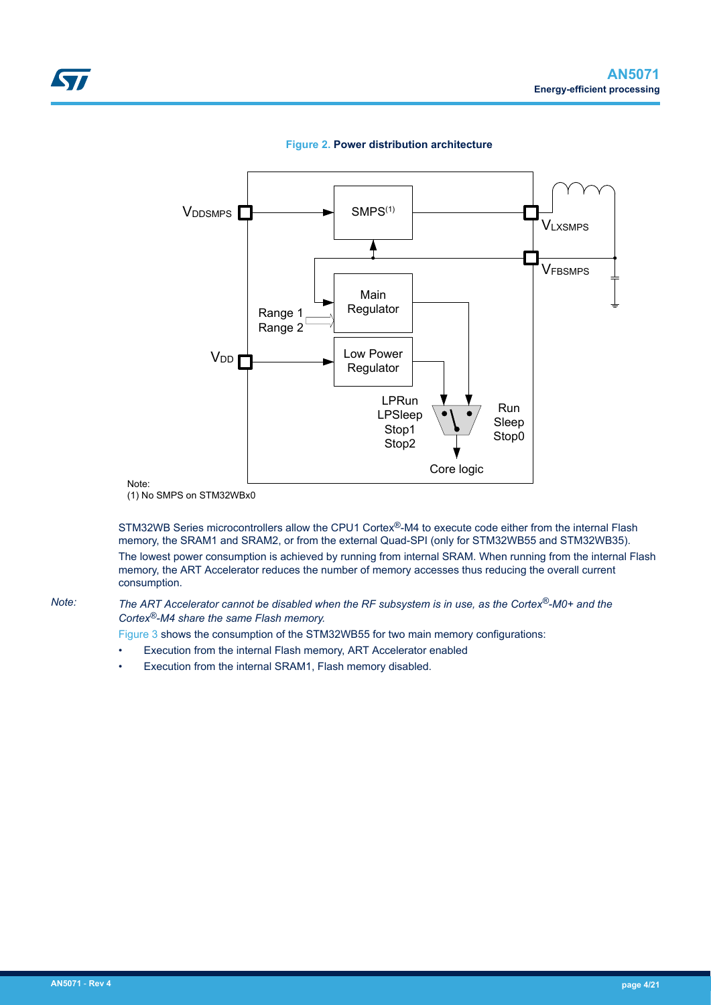<span id="page-3-0"></span>



**Figure 2. Power distribution architecture**

(1) No SMPS on STM32WBx0

STM32WB Series microcontrollers allow the CPU1 Cortex®-M4 to execute code either from the internal Flash memory, the SRAM1 and SRAM2, or from the external Quad-SPI (only for STM32WB55 and STM32WB35). The lowest power consumption is achieved by running from internal SRAM. When running from the internal Flash memory, the ART Accelerator reduces the number of memory accesses thus reducing the overall current consumption.

#### *Note: The ART Accelerator cannot be disabled when the RF subsystem is in use, as the Cortex®-M0+ and the Cortex®-M4 share the same Flash memory.*

[Figure 3](#page-4-0) shows the consumption of the STM32WB55 for two main memory configurations:

- Execution from the internal Flash memory, ART Accelerator enabled
- Execution from the internal SRAM1, Flash memory disabled.

Note: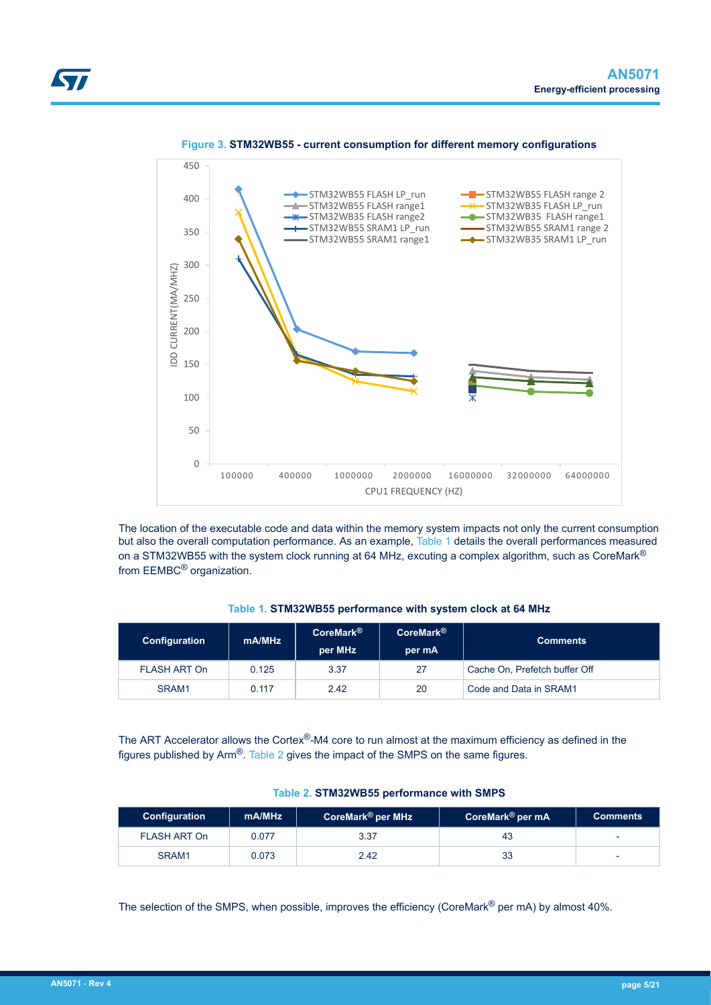<span id="page-4-0"></span>

**Figure 3. STM32WB55 - current consumption for different memory configurations**

The location of the executable code and data within the memory system impacts not only the current consumption but also the overall computation performance. As an example, Table 1 details the overall performances measured on a STM32WB55 with the system clock running at 64 MHz, excuting a complex algorithm, such as CoreMark<sup>®</sup> from EEMBC® organization.

| Configuration       | mA/MHz | CoreMark <sup>®</sup><br>per MHz | CoreMark <sup>®</sup><br>per mA | <b>Comments</b>               |
|---------------------|--------|----------------------------------|---------------------------------|-------------------------------|
| <b>FLASH ART On</b> | 0.125  | 3.37                             | 27                              | Cache On, Prefetch buffer Off |
| SRAM1               | 0.117  | 2.42                             | 20                              | Code and Data in SRAM1        |

#### **Table 1. STM32WB55 performance with system clock at 64 MHz**

The ART Accelerator allows the Cortex®-M4 core to run almost at the maximum efficiency as defined in the figures published by Arm®. Table 2 gives the impact of the SMPS on the same figures.

| Table 2. STM32WB55 performance with SMPS |  |  |  |  |
|------------------------------------------|--|--|--|--|
|------------------------------------------|--|--|--|--|

| Configuration | mA/MHz | CoreMark <sup>®</sup> per MHz | CoreMark <sup>®</sup> per mA | <b>Comments</b>          |
|---------------|--------|-------------------------------|------------------------------|--------------------------|
| FLASH ART On  | 0.077  | 3.37                          | 43                           | ۰                        |
| SRAM1         | 0.073  | 2.42                          | 33                           | $\overline{\phantom{0}}$ |

The selection of the SMPS, when possible, improves the efficiency (CoreMark® per mA) by almost 40%.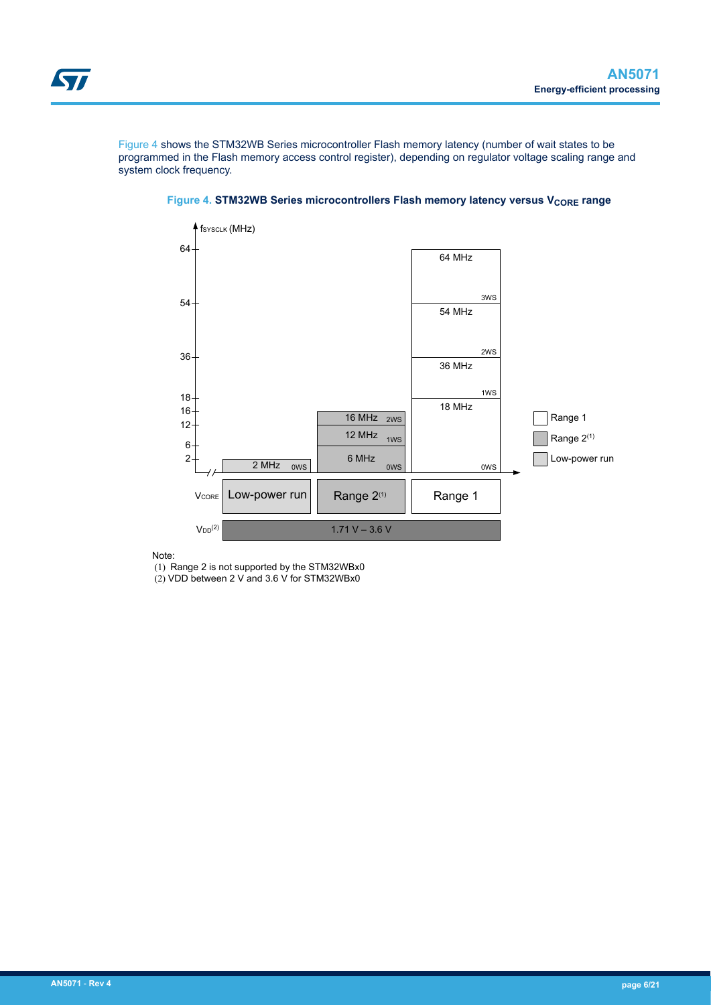<span id="page-5-0"></span>Figure 4 shows the STM32WB Series microcontroller Flash memory latency (number of wait states to be programmed in the Flash memory access control register), depending on regulator voltage scaling range and system clock frequency.





Note:

(1) Range 2 is not supported by the STM32WBx0

(2) VDD between 2 V and 3.6 V for STM32WBx0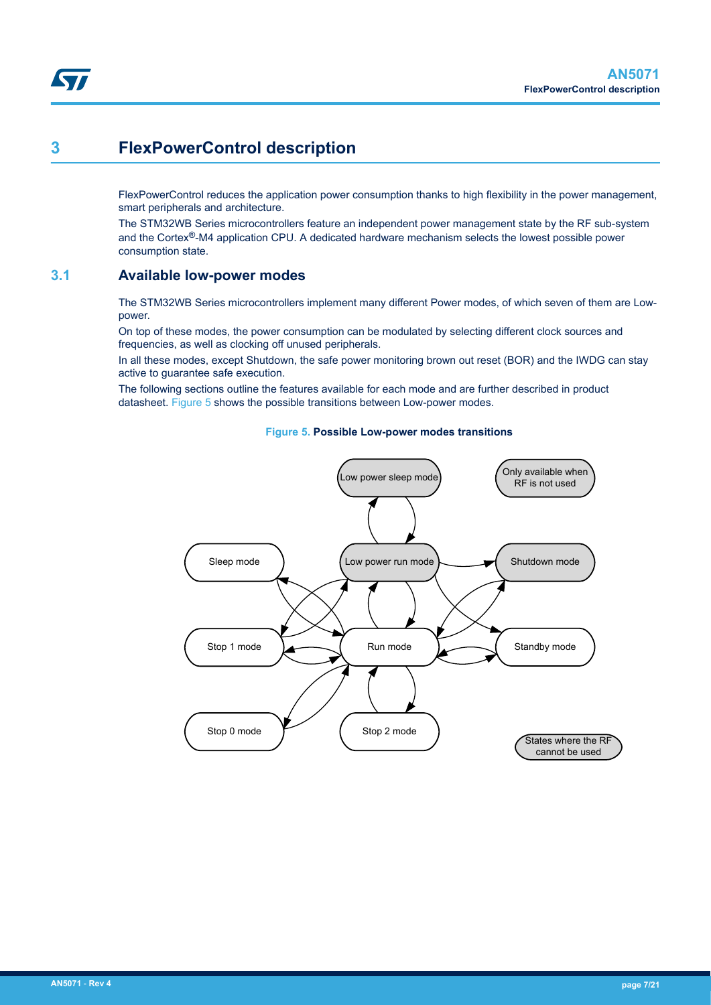### <span id="page-6-0"></span>**3 FlexPowerControl description**

FlexPowerControl reduces the application power consumption thanks to high flexibility in the power management, smart peripherals and architecture.

The STM32WB Series microcontrollers feature an independent power management state by the RF sub-system and the Cortex®-M4 application CPU. A dedicated hardware mechanism selects the lowest possible power consumption state.

### **3.1 Available low-power modes**

The STM32WB Series microcontrollers implement many different Power modes, of which seven of them are Lowpower.

On top of these modes, the power consumption can be modulated by selecting different clock sources and frequencies, as well as clocking off unused peripherals.

In all these modes, except Shutdown, the safe power monitoring brown out reset (BOR) and the IWDG can stay active to guarantee safe execution.

The following sections outline the features available for each mode and are further described in product datasheet. Figure 5 shows the possible transitions between Low-power modes.



#### **Figure 5. Possible Low-power modes transitions**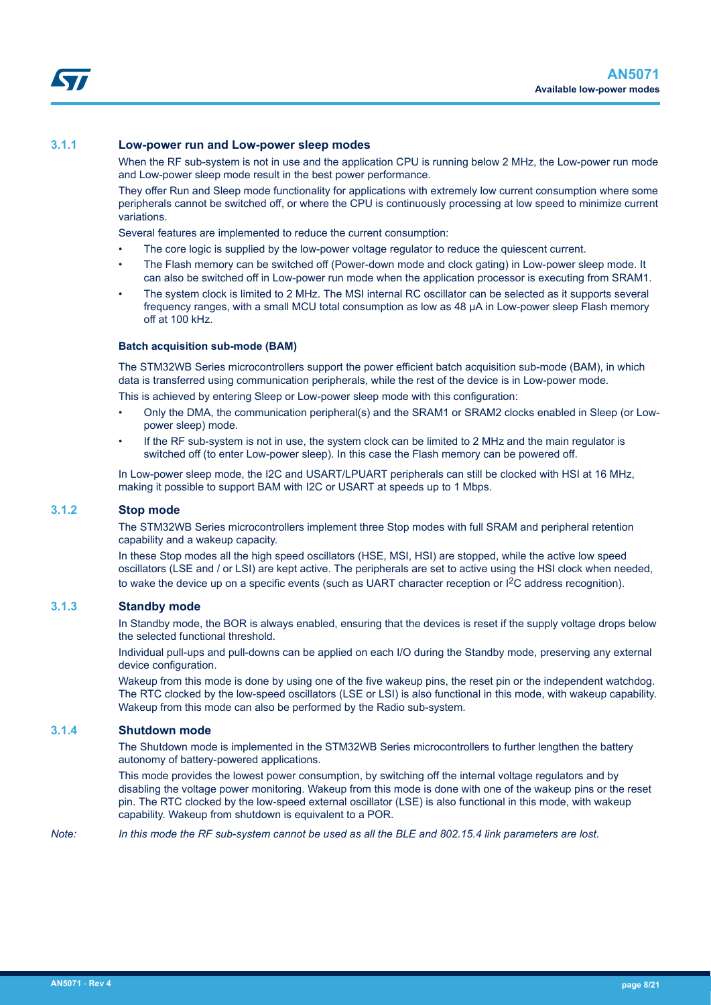<span id="page-7-0"></span>

#### **3.1.1 Low-power run and Low-power sleep modes**

When the RF sub-system is not in use and the application CPU is running below 2 MHz, the Low-power run mode and Low-power sleep mode result in the best power performance.

They offer Run and Sleep mode functionality for applications with extremely low current consumption where some peripherals cannot be switched off, or where the CPU is continuously processing at low speed to minimize current variations.

Several features are implemented to reduce the current consumption:

- The core logic is supplied by the low-power voltage regulator to reduce the quiescent current.
- The Flash memory can be switched off (Power-down mode and clock gating) in Low-power sleep mode. It can also be switched off in Low-power run mode when the application processor is executing from SRAM1.
- The system clock is limited to 2 MHz. The MSI internal RC oscillator can be selected as it supports several frequency ranges, with a small MCU total consumption as low as 48 µA in Low-power sleep Flash memory off at 100 kHz.

#### **Batch acquisition sub-mode (BAM)**

The STM32WB Series microcontrollers support the power efficient batch acquisition sub-mode (BAM), in which data is transferred using communication peripherals, while the rest of the device is in Low-power mode. This is achieved by entering Sleep or Low-power sleep mode with this configuration:

- Only the DMA, the communication peripheral(s) and the SRAM1 or SRAM2 clocks enabled in Sleep (or Lowpower sleep) mode.
- If the RF sub-system is not in use, the system clock can be limited to 2 MHz and the main regulator is switched off (to enter Low-power sleep). In this case the Flash memory can be powered off.

In Low-power sleep mode, the I2C and USART/LPUART peripherals can still be clocked with HSI at 16 MHz, making it possible to support BAM with I2C or USART at speeds up to 1 Mbps.

#### **3.1.2 Stop mode**

The STM32WB Series microcontrollers implement three Stop modes with full SRAM and peripheral retention capability and a wakeup capacity.

In these Stop modes all the high speed oscillators (HSE, MSI, HSI) are stopped, while the active low speed oscillators (LSE and / or LSI) are kept active. The peripherals are set to active using the HSI clock when needed, to wake the device up on a specific events (such as UART character reception or I2C address recognition).

#### **3.1.3 Standby mode**

In Standby mode, the BOR is always enabled, ensuring that the devices is reset if the supply voltage drops below the selected functional threshold.

Individual pull-ups and pull-downs can be applied on each I/O during the Standby mode, preserving any external device configuration.

Wakeup from this mode is done by using one of the five wakeup pins, the reset pin or the independent watchdog. The RTC clocked by the low-speed oscillators (LSE or LSI) is also functional in this mode, with wakeup capability. Wakeup from this mode can also be performed by the Radio sub-system.

#### **3.1.4 Shutdown mode**

The Shutdown mode is implemented in the STM32WB Series microcontrollers to further lengthen the battery autonomy of battery-powered applications.

This mode provides the lowest power consumption, by switching off the internal voltage regulators and by disabling the voltage power monitoring. Wakeup from this mode is done with one of the wakeup pins or the reset pin. The RTC clocked by the low-speed external oscillator (LSE) is also functional in this mode, with wakeup capability. Wakeup from shutdown is equivalent to a POR.

*Note: In this mode the RF sub-system cannot be used as all the BLE and 802.15.4 link parameters are lost.*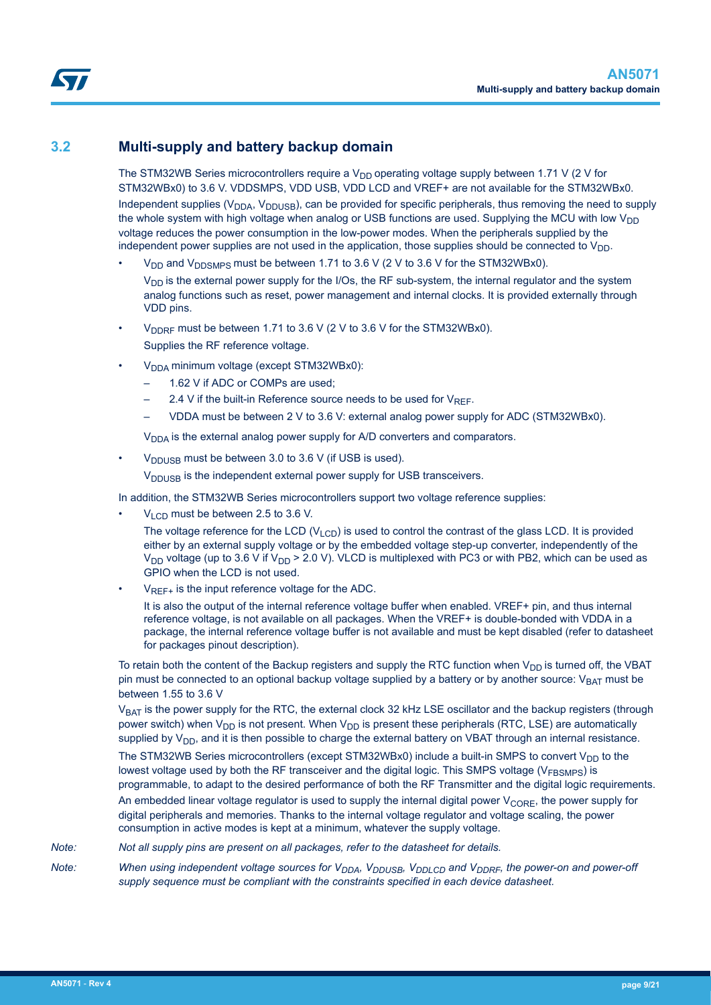### <span id="page-8-0"></span>**3.2 Multi-supply and battery backup domain**

The STM32WB Series microcontrollers require a  $V_{DD}$  operating voltage supply between 1.71 V (2 V for STM32WBx0) to 3.6 V. VDDSMPS, VDD USB, VDD LCD and VREF+ are not available for the STM32WBx0. Independent supplies ( $V<sub>DDA</sub>$ ,  $V<sub>DUSR</sub>$ ), can be provided for specific peripherals, thus removing the need to supply the whole system with high voltage when analog or USB functions are used. Supplying the MCU with low V<sub>DD</sub> voltage reduces the power consumption in the low-power modes. When the peripherals supplied by the independent power supplies are not used in the application, those supplies should be connected to  $V_{DD}$ .

 $V_{DD}$  and  $V_{DDSMPS}$  must be between 1.71 to 3.6 V (2 V to 3.6 V for the STM32WBx0).

 $V_{DD}$  is the external power supply for the I/Os, the RF sub-system, the internal regulator and the system analog functions such as reset, power management and internal clocks. It is provided externally through VDD pins.

- $V_{\text{DDEF}}$  must be between 1.71 to 3.6 V (2 V to 3.6 V for the STM32WBx0). Supplies the RF reference voltage.
- V<sub>DDA</sub> minimum voltage (except STM32WBx0):
	- 1.62 V if ADC or COMPs are used;
	- 2.4 V if the built-in Reference source needs to be used for  $V_{RFF}$ .
	- VDDA must be between 2 V to 3.6 V: external analog power supply for ADC (STM32WBx0).

 $V<sub>DDA</sub>$  is the external analog power supply for A/D converters and comparators.

 $V<sub>DDUSE</sub>$  must be between 3.0 to 3.6 V (if USB is used).

 $V<sub>DDUSE</sub>$  is the independent external power supply for USB transceivers.

In addition, the STM32WB Series microcontrollers support two voltage reference supplies:

 $V<sub>LCD</sub>$  must be between 2.5 to 3.6 V.

The voltage reference for the LCD ( $V_{LCD}$ ) is used to control the contrast of the glass LCD. It is provided either by an external supply voltage or by the embedded voltage step-up converter, independently of the  $V_{DD}$  voltage (up to 3.6 V if  $V_{DD}$  > 2.0 V). VLCD is multiplexed with PC3 or with PB2, which can be used as GPIO when the LCD is not used.

 $V_{RFF+}$  is the input reference voltage for the ADC.

It is also the output of the internal reference voltage buffer when enabled. VREF+ pin, and thus internal reference voltage, is not available on all packages. When the VREF+ is double-bonded with VDDA in a package, the internal reference voltage buffer is not available and must be kept disabled (refer to datasheet for packages pinout description).

To retain both the content of the Backup registers and supply the RTC function when  $V_{DD}$  is turned off, the VBAT pin must be connected to an optional backup voltage supplied by a battery or by another source:  $V_{BAT}$  must be between 1.55 to 3.6 V

V<sub>BAT</sub> is the power supply for the RTC, the external clock 32 kHz LSE oscillator and the backup registers (through power switch) when  $V_{DD}$  is not present. When  $V_{DD}$  is present these peripherals (RTC, LSE) are automatically supplied by  $V_{DD}$ , and it is then possible to charge the external battery on VBAT through an internal resistance.

The STM32WB Series microcontrollers (except STM32WBx0) include a built-in SMPS to convert  $V_{DD}$  to the lowest voltage used by both the RF transceiver and the digital logic. This SMPS voltage ( $V_{\text{FRSMPS}}$ ) is programmable, to adapt to the desired performance of both the RF Transmitter and the digital logic requirements. An embedded linear voltage regulator is used to supply the internal digital power  $V_{\text{CORE}}$ , the power supply for digital peripherals and memories. Thanks to the internal voltage regulator and voltage scaling, the power consumption in active modes is kept at a minimum, whatever the supply voltage.

*Note: Not all supply pins are present on all packages, refer to the datasheet for details.*

*Note:* When using independent voltage sources for V<sub>DDA</sub>, V<sub>DDUSB</sub>, V<sub>DDLCD</sub> and V<sub>DDRF</sub>, the power-on and power-off *supply sequence must be compliant with the constraints specified in each device datasheet.*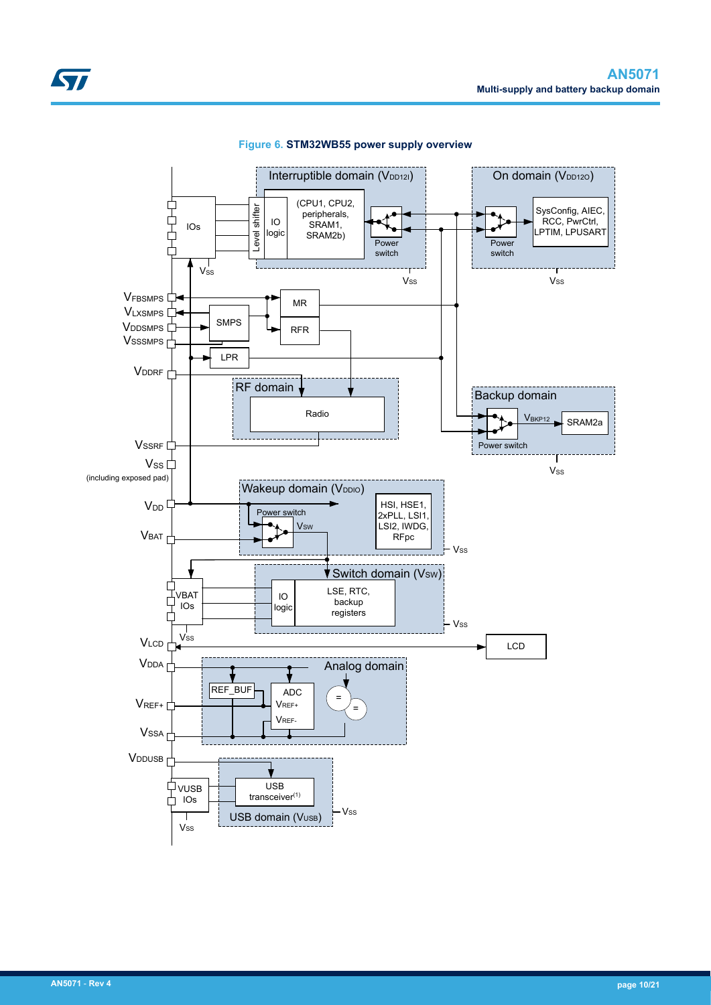<span id="page-9-0"></span>

#### **Figure 6. STM32WB55 power supply overview**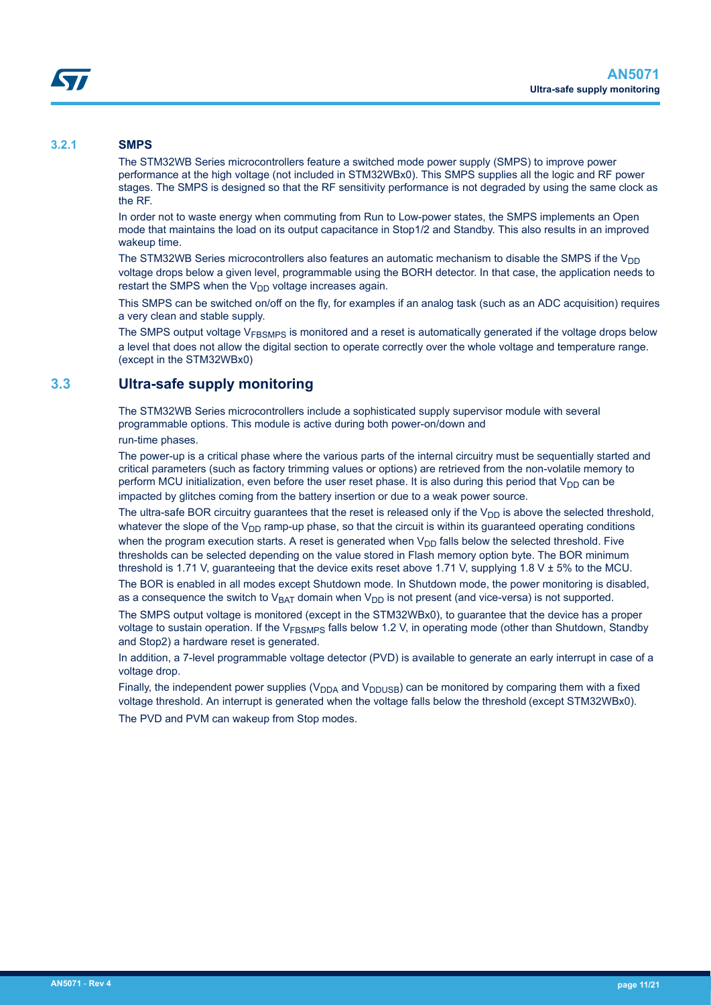#### <span id="page-10-0"></span>**3.2.1 SMPS**

The STM32WB Series microcontrollers feature a switched mode power supply (SMPS) to improve power performance at the high voltage (not included in STM32WBx0). This SMPS supplies all the logic and RF power stages. The SMPS is designed so that the RF sensitivity performance is not degraded by using the same clock as the RF.

In order not to waste energy when commuting from Run to Low-power states, the SMPS implements an Open mode that maintains the load on its output capacitance in Stop1/2 and Standby. This also results in an improved wakeup time.

The STM32WB Series microcontrollers also features an automatic mechanism to disable the SMPS if the  $V_{DD}$ voltage drops below a given level, programmable using the BORH detector. In that case, the application needs to restart the SMPS when the  $V_{DD}$  voltage increases again.

This SMPS can be switched on/off on the fly, for examples if an analog task (such as an ADC acquisition) requires a very clean and stable supply.

The SMPS output voltage V<sub>FBSMPS</sub> is monitored and a reset is automatically generated if the voltage drops below a level that does not allow the digital section to operate correctly over the whole voltage and temperature range. (except in the STM32WBx0)

### **3.3 Ultra-safe supply monitoring**

The STM32WB Series microcontrollers include a sophisticated supply supervisor module with several programmable options. This module is active during both power-on/down and

run-time phases.

The power-up is a critical phase where the various parts of the internal circuitry must be sequentially started and critical parameters (such as factory trimming values or options) are retrieved from the non-volatile memory to perform MCU initialization, even before the user reset phase. It is also during this period that  $V_{DD}$  can be impacted by glitches coming from the battery insertion or due to a weak power source.

The ultra-safe BOR circuitry guarantees that the reset is released only if the  $V_{DD}$  is above the selected threshold, whatever the slope of the  $V_{DD}$  ramp-up phase, so that the circuit is within its guaranteed operating conditions when the program execution starts. A reset is generated when  $V_{DD}$  falls below the selected threshold. Five thresholds can be selected depending on the value stored in Flash memory option byte. The BOR minimum threshold is 1.71 V, guaranteeing that the device exits reset above 1.71 V, supplying 1.8 V  $\pm$  5% to the MCU.

The BOR is enabled in all modes except Shutdown mode. In Shutdown mode, the power monitoring is disabled, as a consequence the switch to  $V_{BAT}$  domain when  $V_{DD}$  is not present (and vice-versa) is not supported.

The SMPS output voltage is monitored (except in the STM32WBx0), to guarantee that the device has a proper voltage to sustain operation. If the  $V_{FBSMPS}$  falls below 1.2 V, in operating mode (other than Shutdown, Standby and Stop2) a hardware reset is generated.

In addition, a 7-level programmable voltage detector (PVD) is available to generate an early interrupt in case of a voltage drop.

Finally, the independent power supplies ( $V<sub>DDA</sub>$  and  $V<sub>DDISB</sub>$ ) can be monitored by comparing them with a fixed voltage threshold. An interrupt is generated when the voltage falls below the threshold (except STM32WBx0).

The PVD and PVM can wakeup from Stop modes.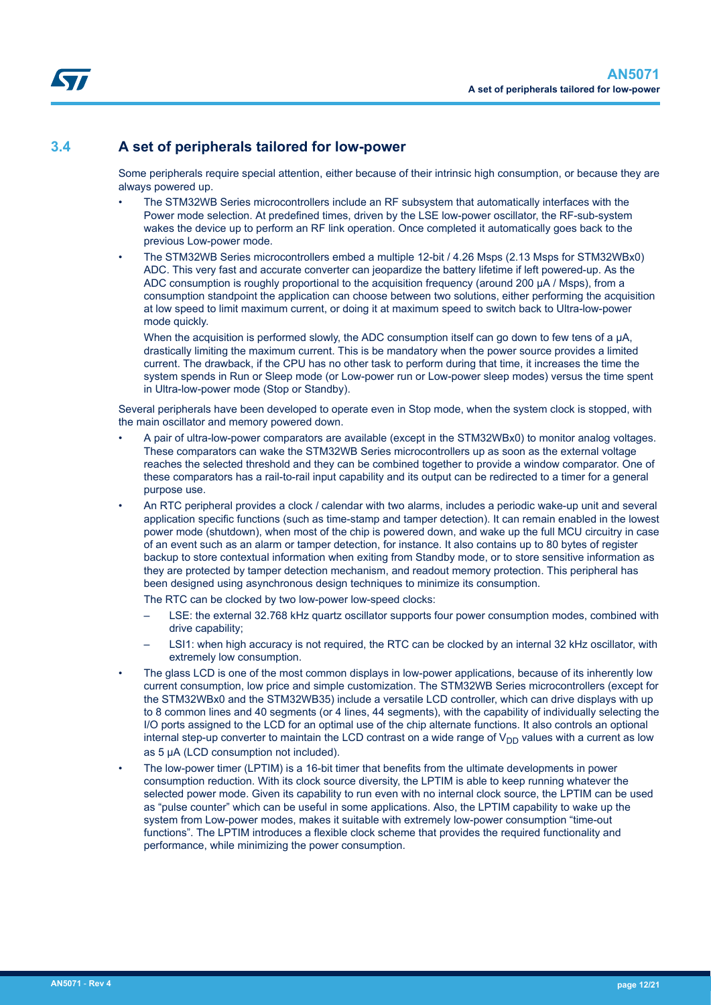<span id="page-11-0"></span>

### **3.4 A set of peripherals tailored for low-power**

Some peripherals require special attention, either because of their intrinsic high consumption, or because they are always powered up.

- The STM32WB Series microcontrollers include an RF subsystem that automatically interfaces with the Power mode selection. At predefined times, driven by the LSE low-power oscillator, the RF-sub-system wakes the device up to perform an RF link operation. Once completed it automatically goes back to the previous Low-power mode.
- The STM32WB Series microcontrollers embed a multiple 12-bit / 4.26 Msps (2.13 Msps for STM32WBx0) ADC. This very fast and accurate converter can jeopardize the battery lifetime if left powered-up. As the ADC consumption is roughly proportional to the acquisition frequency (around 200 µA / Msps), from a consumption standpoint the application can choose between two solutions, either performing the acquisition at low speed to limit maximum current, or doing it at maximum speed to switch back to Ultra-low-power mode quickly.

When the acquisition is performed slowly, the ADC consumption itself can go down to few tens of a  $\mu$ A, drastically limiting the maximum current. This is be mandatory when the power source provides a limited current. The drawback, if the CPU has no other task to perform during that time, it increases the time the system spends in Run or Sleep mode (or Low-power run or Low-power sleep modes) versus the time spent in Ultra-low-power mode (Stop or Standby).

Several peripherals have been developed to operate even in Stop mode, when the system clock is stopped, with the main oscillator and memory powered down.

- A pair of ultra-low-power comparators are available (except in the STM32WBx0) to monitor analog voltages. These comparators can wake the STM32WB Series microcontrollers up as soon as the external voltage reaches the selected threshold and they can be combined together to provide a window comparator. One of these comparators has a rail-to-rail input capability and its output can be redirected to a timer for a general purpose use.
- An RTC peripheral provides a clock / calendar with two alarms, includes a periodic wake-up unit and several application specific functions (such as time-stamp and tamper detection). It can remain enabled in the lowest power mode (shutdown), when most of the chip is powered down, and wake up the full MCU circuitry in case of an event such as an alarm or tamper detection, for instance. It also contains up to 80 bytes of register backup to store contextual information when exiting from Standby mode, or to store sensitive information as they are protected by tamper detection mechanism, and readout memory protection. This peripheral has been designed using asynchronous design techniques to minimize its consumption.

The RTC can be clocked by two low-power low-speed clocks:

- LSE: the external 32.768 kHz quartz oscillator supports four power consumption modes, combined with drive capability;
- LSI1: when high accuracy is not required, the RTC can be clocked by an internal 32 kHz oscillator, with extremely low consumption.
- The glass LCD is one of the most common displays in low-power applications, because of its inherently low current consumption, low price and simple customization. The STM32WB Series microcontrollers (except for the STM32WBx0 and the STM32WB35) include a versatile LCD controller, which can drive displays with up to 8 common lines and 40 segments (or 4 lines, 44 segments), with the capability of individually selecting the I/O ports assigned to the LCD for an optimal use of the chip alternate functions. It also controls an optional internal step-up converter to maintain the LCD contrast on a wide range of  $V_{DD}$  values with a current as low as 5 µA (LCD consumption not included).
- The low-power timer (LPTIM) is a 16-bit timer that benefits from the ultimate developments in power consumption reduction. With its clock source diversity, the LPTIM is able to keep running whatever the selected power mode. Given its capability to run even with no internal clock source, the LPTIM can be used as "pulse counter" which can be useful in some applications. Also, the LPTIM capability to wake up the system from Low-power modes, makes it suitable with extremely low-power consumption "time-out functions". The LPTIM introduces a flexible clock scheme that provides the required functionality and performance, while minimizing the power consumption.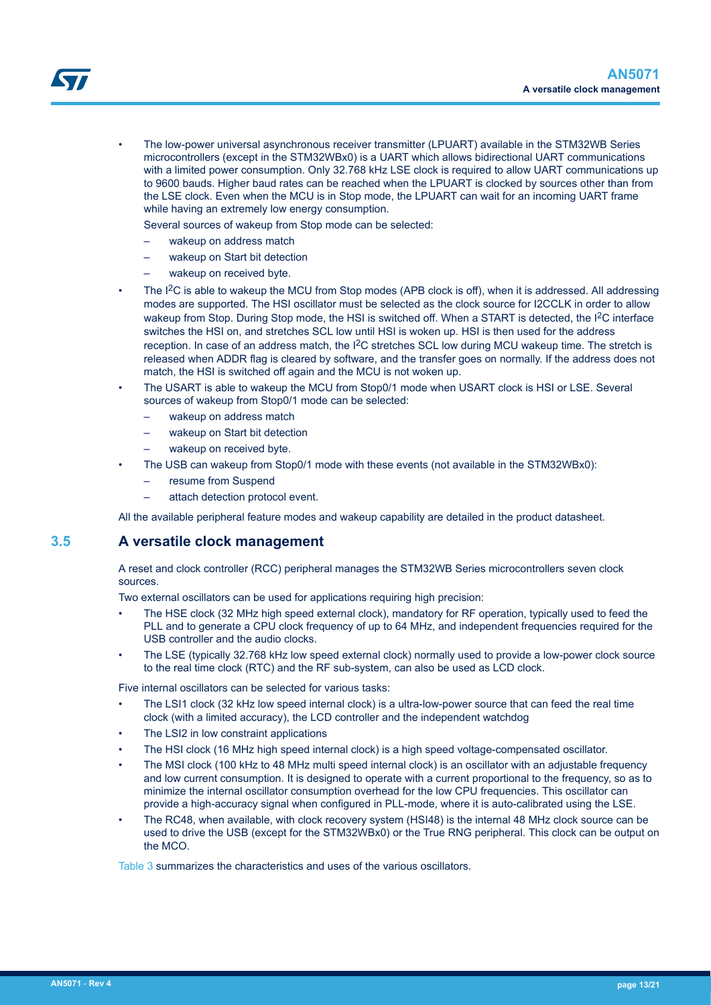<span id="page-12-0"></span>

• The low-power universal asynchronous receiver transmitter (LPUART) available in the STM32WB Series microcontrollers (except in the STM32WBx0) is a UART which allows bidirectional UART communications with a limited power consumption. Only 32.768 kHz LSE clock is required to allow UART communications up to 9600 bauds. Higher baud rates can be reached when the LPUART is clocked by sources other than from the LSE clock. Even when the MCU is in Stop mode, the LPUART can wait for an incoming UART frame while having an extremely low energy consumption.

Several sources of wakeup from Stop mode can be selected:

- wakeup on address match
- wakeup on Start bit detection
- wakeup on received byte.
- The I<sup>2</sup>C is able to wakeup the MCU from Stop modes (APB clock is off), when it is addressed. All addressing modes are supported. The HSI oscillator must be selected as the clock source for I2CCLK in order to allow wakeup from Stop. During Stop mode, the HSI is switched off. When a START is detected, the I<sup>2</sup>C interface switches the HSI on, and stretches SCL low until HSI is woken up. HSI is then used for the address reception. In case of an address match, the I<sup>2</sup>C stretches SCL low during MCU wakeup time. The stretch is released when ADDR flag is cleared by software, and the transfer goes on normally. If the address does not match, the HSI is switched off again and the MCU is not woken up.
- The USART is able to wakeup the MCU from Stop0/1 mode when USART clock is HSI or LSE. Several sources of wakeup from Stop0/1 mode can be selected:
	- wakeup on address match
	- wakeup on Start bit detection
	- wakeup on received byte.
- The USB can wakeup from Stop0/1 mode with these events (not available in the STM32WBx0):
	- resume from Suspend
	- attach detection protocol event.

All the available peripheral feature modes and wakeup capability are detailed in the product datasheet.

### **3.5 A versatile clock management**

A reset and clock controller (RCC) peripheral manages the STM32WB Series microcontrollers seven clock sources.

Two external oscillators can be used for applications requiring high precision:

- The HSE clock (32 MHz high speed external clock), mandatory for RF operation, typically used to feed the PLL and to generate a CPU clock frequency of up to 64 MHz, and independent frequencies required for the USB controller and the audio clocks.
- The LSE (typically 32.768 kHz low speed external clock) normally used to provide a low-power clock source to the real time clock (RTC) and the RF sub-system, can also be used as LCD clock.

Five internal oscillators can be selected for various tasks:

- The LSI1 clock (32 kHz low speed internal clock) is a ultra-low-power source that can feed the real time clock (with a limited accuracy), the LCD controller and the independent watchdog
- The LSI2 in low constraint applications
- The HSI clock (16 MHz high speed internal clock) is a high speed voltage-compensated oscillator.
- The MSI clock (100 kHz to 48 MHz multi speed internal clock) is an oscillator with an adjustable frequency and low current consumption. It is designed to operate with a current proportional to the frequency, so as to minimize the internal oscillator consumption overhead for the low CPU frequencies. This oscillator can provide a high-accuracy signal when configured in PLL-mode, where it is auto-calibrated using the LSE.
- The RC48, when available, with clock recovery system (HSI48) is the internal 48 MHz clock source can be used to drive the USB (except for the STM32WBx0) or the True RNG peripheral. This clock can be output on the MCO.

[Table 3](#page-13-0) summarizes the characteristics and uses of the various oscillators.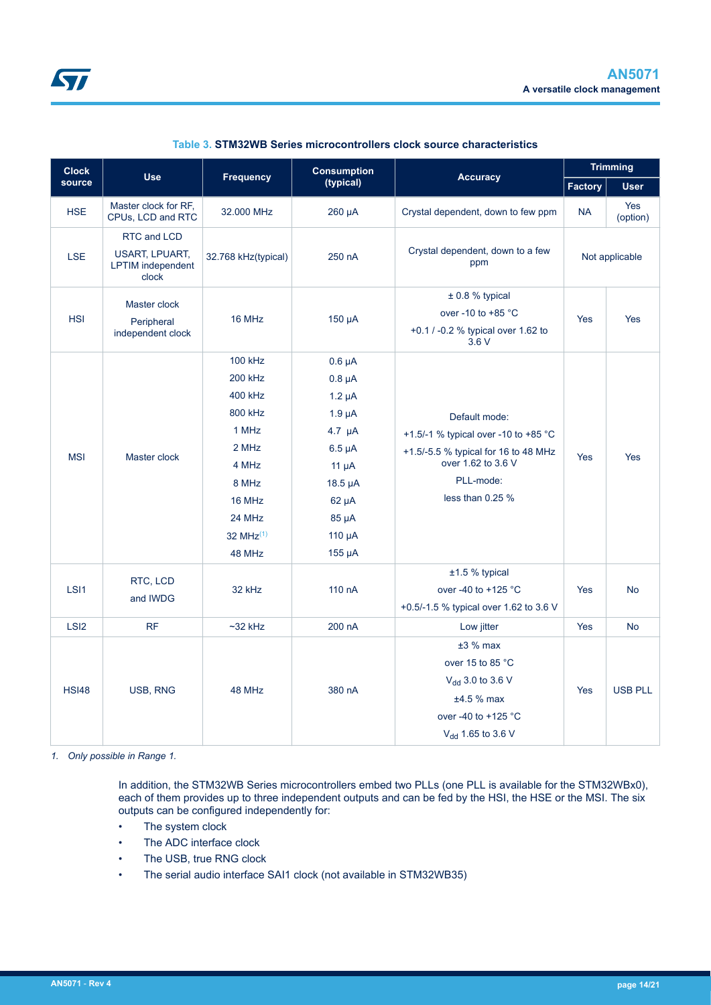<span id="page-13-0"></span>

| <b>Clock</b>     | <b>Use</b>                                                                | <b>Frequency</b>                                                                                                                  | <b>Consumption</b>                                                                                                                                                             | <b>Accuracy</b>                                                                                                                                      | <b>Trimming</b> |                 |  |
|------------------|---------------------------------------------------------------------------|-----------------------------------------------------------------------------------------------------------------------------------|--------------------------------------------------------------------------------------------------------------------------------------------------------------------------------|------------------------------------------------------------------------------------------------------------------------------------------------------|-----------------|-----------------|--|
| source           |                                                                           |                                                                                                                                   | (typical)                                                                                                                                                                      |                                                                                                                                                      | Factory         | <b>User</b>     |  |
| <b>HSE</b>       | Master clock for RF,<br>CPUs, LCD and RTC                                 | 32.000 MHz                                                                                                                        | 260 µA                                                                                                                                                                         | Crystal dependent, down to few ppm                                                                                                                   | <b>NA</b>       | Yes<br>(option) |  |
| <b>LSE</b>       | RTC and LCD<br><b>USART, LPUART,</b><br><b>LPTIM</b> independent<br>clock | 32.768 kHz(typical)                                                                                                               | 250 nA                                                                                                                                                                         | Crystal dependent, down to a few<br>ppm                                                                                                              |                 | Not applicable  |  |
| <b>HSI</b>       | Master clock<br>Peripheral<br>independent clock                           | 16 MHz                                                                                                                            | $150 \mu A$                                                                                                                                                                    | $± 0.8 %$ typical<br>over -10 to +85 °C<br>+0.1 / -0.2 % typical over 1.62 to<br>3.6V                                                                | Yes             | Yes             |  |
| <b>MSI</b>       | Master clock                                                              | <b>100 kHz</b><br>200 kHz<br>400 kHz<br>800 kHz<br>1 MHz<br>2 MHz<br>4 MHz<br>8 MHz<br>16 MHz<br>24 MHz<br>32 MHz $(1)$<br>48 MHz | $0.6 \mu A$<br>$0.8 \mu A$<br>$1.2 \mu A$<br>$1.9 \mu A$<br>$4.7 \mu A$<br>$6.5 \mu A$<br>$11 \mu A$<br>$18.5 \mu A$<br>$62 \mu A$<br>$85 \mu A$<br>$110 \mu A$<br>$155 \mu A$ | Default mode:<br>+1.5/-1 % typical over -10 to +85 °C<br>+1.5/-5.5 % typical for 16 to 48 MHz<br>over 1.62 to 3.6 V<br>PLL-mode:<br>less than 0.25 % | Yes             | Yes             |  |
| LSI <sub>1</sub> | RTC, LCD<br>and IWDG                                                      | 32 kHz                                                                                                                            | 110 nA                                                                                                                                                                         | ±1.5 % typical<br>over -40 to +125 °C<br>+0.5/-1.5 % typical over 1.62 to 3.6 V                                                                      | Yes             | <b>No</b>       |  |
| LS <sub>I2</sub> | <b>RF</b>                                                                 | $~232$ kHz                                                                                                                        | 200 nA                                                                                                                                                                         | Low jitter                                                                                                                                           | Yes             | <b>No</b>       |  |
| <b>HSI48</b>     | USB, RNG                                                                  | 48 MHz                                                                                                                            | 380 nA                                                                                                                                                                         | $±3$ % max<br>over 15 to 85 °C<br>V <sub>dd</sub> 3.0 to 3.6 V<br>±4.5 % max<br>over -40 to +125 °C<br>V <sub>dd</sub> 1.65 to 3.6 V                 | Yes             | <b>USB PLL</b>  |  |

#### **Table 3. STM32WB Series microcontrollers clock source characteristics**

*1. Only possible in Range 1.*

In addition, the STM32WB Series microcontrollers embed two PLLs (one PLL is available for the STM32WBx0), each of them provides up to three independent outputs and can be fed by the HSI, the HSE or the MSI. The six outputs can be configured independently for:

- The system clock
- The ADC interface clock
- The USB, true RNG clock
- The serial audio interface SAI1 clock (not available in STM32WB35)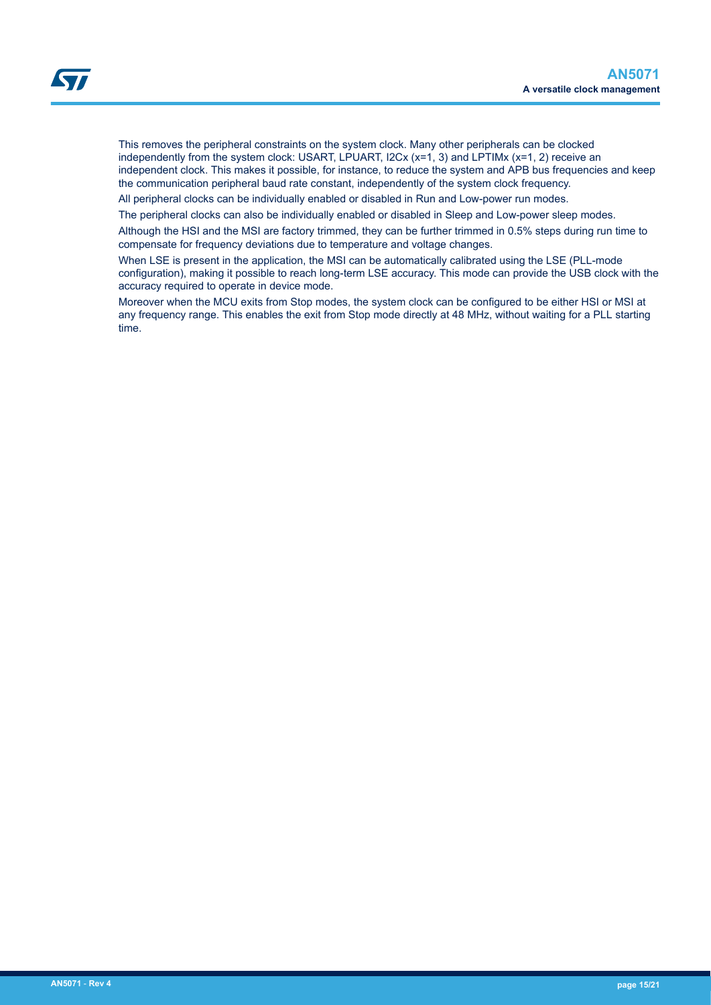This removes the peripheral constraints on the system clock. Many other peripherals can be clocked independently from the system clock: USART, LPUART,  $12Cx(x=1, 3)$  and LPTIMx  $(x=1, 2)$  receive an independent clock. This makes it possible, for instance, to reduce the system and APB bus frequencies and keep the communication peripheral baud rate constant, independently of the system clock frequency.

All peripheral clocks can be individually enabled or disabled in Run and Low-power run modes.

The peripheral clocks can also be individually enabled or disabled in Sleep and Low-power sleep modes.

Although the HSI and the MSI are factory trimmed, they can be further trimmed in 0.5% steps during run time to compensate for frequency deviations due to temperature and voltage changes.

When LSE is present in the application, the MSI can be automatically calibrated using the LSE (PLL-mode configuration), making it possible to reach long-term LSE accuracy. This mode can provide the USB clock with the accuracy required to operate in device mode.

Moreover when the MCU exits from Stop modes, the system clock can be configured to be either HSI or MSI at any frequency range. This enables the exit from Stop mode directly at 48 MHz, without waiting for a PLL starting time.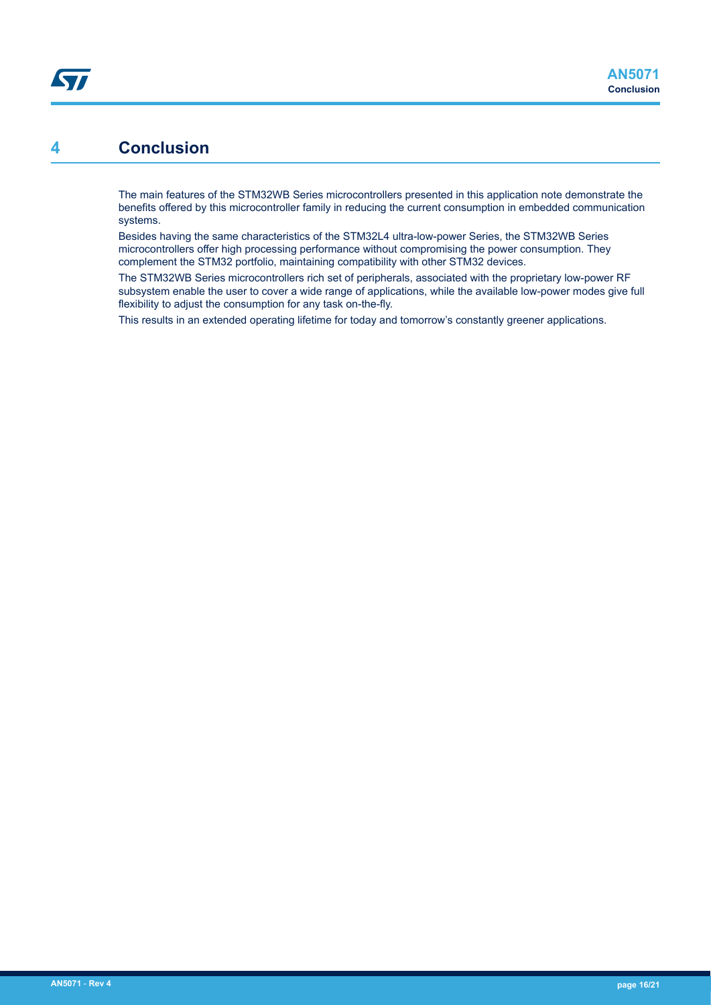## <span id="page-15-0"></span>**4 Conclusion**

The main features of the STM32WB Series microcontrollers presented in this application note demonstrate the benefits offered by this microcontroller family in reducing the current consumption in embedded communication systems.

Besides having the same characteristics of the STM32L4 ultra-low-power Series, the STM32WB Series microcontrollers offer high processing performance without compromising the power consumption. They complement the STM32 portfolio, maintaining compatibility with other STM32 devices.

The STM32WB Series microcontrollers rich set of peripherals, associated with the proprietary low-power RF subsystem enable the user to cover a wide range of applications, while the available low-power modes give full flexibility to adjust the consumption for any task on-the-fly.

This results in an extended operating lifetime for today and tomorrow's constantly greener applications.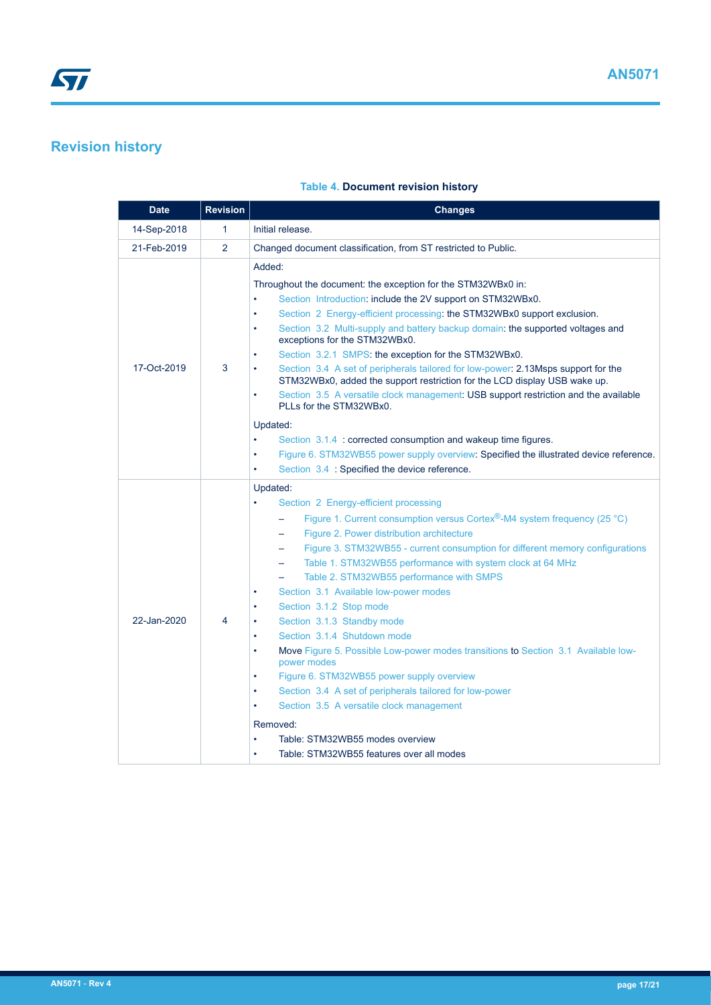## <span id="page-16-0"></span>**Revision history**

#### **Table 4. Document revision history**

| <b>Date</b> | <b>Revision</b> | <b>Changes</b>                                                                                                                                                                                                                                                                                                                                                                                                                                                                                                                                                                                                                                                                                                                                                                                                                                                                                                                                                                                                                         |  |  |
|-------------|-----------------|----------------------------------------------------------------------------------------------------------------------------------------------------------------------------------------------------------------------------------------------------------------------------------------------------------------------------------------------------------------------------------------------------------------------------------------------------------------------------------------------------------------------------------------------------------------------------------------------------------------------------------------------------------------------------------------------------------------------------------------------------------------------------------------------------------------------------------------------------------------------------------------------------------------------------------------------------------------------------------------------------------------------------------------|--|--|
| 14-Sep-2018 | 1               | Initial release.                                                                                                                                                                                                                                                                                                                                                                                                                                                                                                                                                                                                                                                                                                                                                                                                                                                                                                                                                                                                                       |  |  |
| 21-Feb-2019 | $\overline{2}$  | Changed document classification, from ST restricted to Public.                                                                                                                                                                                                                                                                                                                                                                                                                                                                                                                                                                                                                                                                                                                                                                                                                                                                                                                                                                         |  |  |
| 17-Oct-2019 | 3               | Added:<br>Throughout the document: the exception for the STM32WBx0 in:<br>Section Introduction: include the 2V support on STM32WBx0.<br>Section 2 Energy-efficient processing: the STM32WBx0 support exclusion.<br>$\bullet$<br>Section 3.2 Multi-supply and battery backup domain: the supported voltages and<br>exceptions for the STM32WBx0.<br>Section 3.2.1 SMPS: the exception for the STM32WBx0.<br>Section 3.4 A set of peripherals tailored for low-power: 2.13Msps support for the<br>٠<br>STM32WBx0, added the support restriction for the LCD display USB wake up.<br>Section 3.5 A versatile clock management: USB support restriction and the available<br>٠<br>PLLs for the STM32WBx0.<br>Updated:<br>Section 3.1.4 : corrected consumption and wakeup time figures.<br>$\bullet$<br>Figure 6. STM32WB55 power supply overview: Specified the illustrated device reference.<br>Section 3.4 : Specified the device reference.                                                                                            |  |  |
| 22-Jan-2020 | 4               | Updated:<br>Section 2 Energy-efficient processing<br>Figure 1. Current consumption versus Cortex®-M4 system frequency (25 °C)<br>$\overline{\phantom{0}}$<br>Figure 2. Power distribution architecture<br>$\overline{\phantom{0}}$<br>Figure 3. STM32WB55 - current consumption for different memory configurations<br>$\overline{\phantom{0}}$<br>Table 1. STM32WB55 performance with system clock at 64 MHz<br>$\overline{\phantom{0}}$<br>Table 2. STM32WB55 performance with SMPS<br>Section 3.1 Available low-power modes<br>$\bullet$<br>Section 3.1.2 Stop mode<br>٠<br>Section 3.1.3 Standby mode<br>۰<br>Section 3.1.4 Shutdown mode<br>٠<br>Move Figure 5. Possible Low-power modes transitions to Section 3.1 Available low-<br>٠<br>power modes<br>Figure 6. STM32WB55 power supply overview<br>۰<br>Section 3.4 A set of peripherals tailored for low-power<br>٠<br>Section 3.5 A versatile clock management<br>Removed:<br>Table: STM32WB55 modes overview<br>٠<br>Table: STM32WB55 features over all modes<br>$\bullet$ |  |  |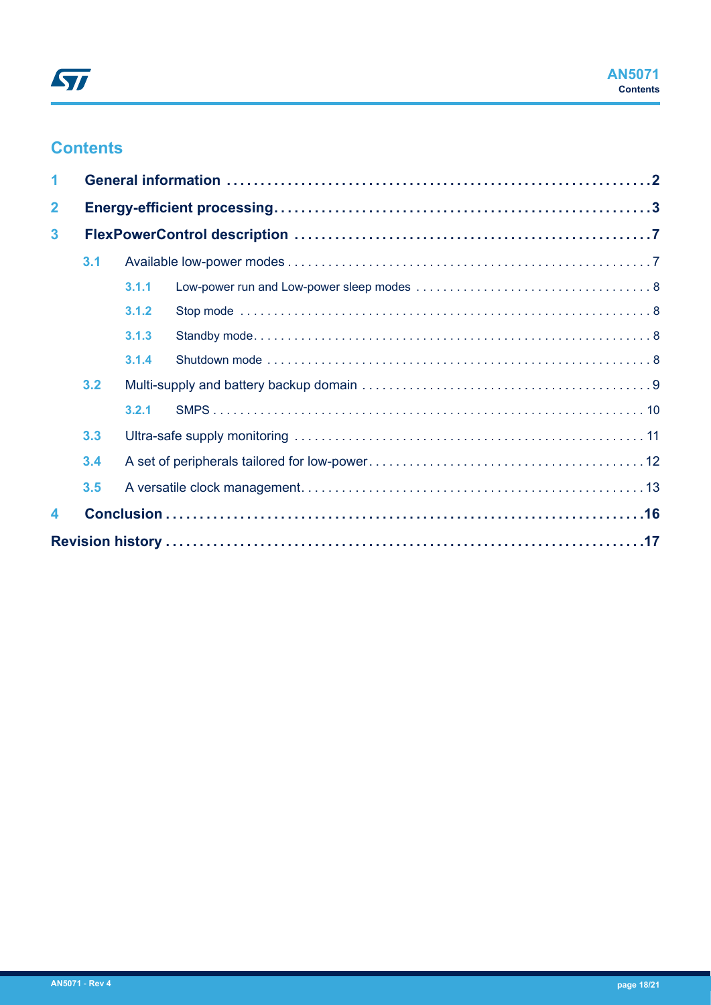## **Contents**

| 1            |     |       |  |  |  |  |  |
|--------------|-----|-------|--|--|--|--|--|
| $\mathbf{2}$ |     |       |  |  |  |  |  |
| $\mathbf{3}$ |     |       |  |  |  |  |  |
|              | 3.1 |       |  |  |  |  |  |
|              |     | 3.1.1 |  |  |  |  |  |
|              |     | 3.1.2 |  |  |  |  |  |
|              |     | 3.1.3 |  |  |  |  |  |
|              |     | 3.1.4 |  |  |  |  |  |
|              | 3.2 |       |  |  |  |  |  |
|              |     | 3.2.1 |  |  |  |  |  |
|              | 3.3 |       |  |  |  |  |  |
|              | 3.4 |       |  |  |  |  |  |
|              | 3.5 |       |  |  |  |  |  |
| 4            |     |       |  |  |  |  |  |
|              |     |       |  |  |  |  |  |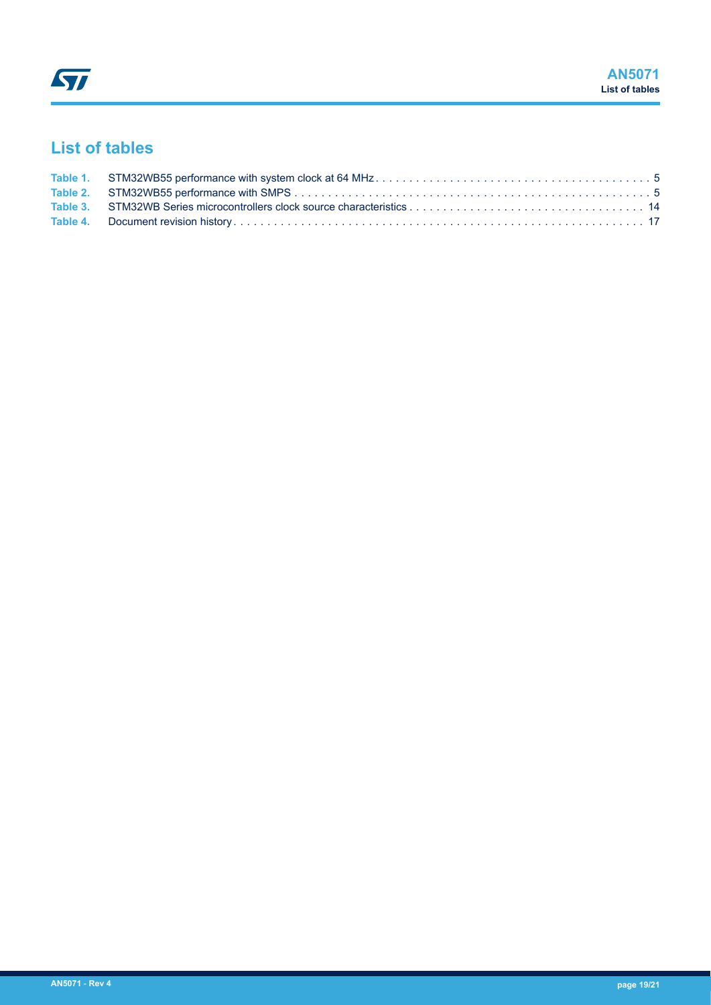## **List of tables**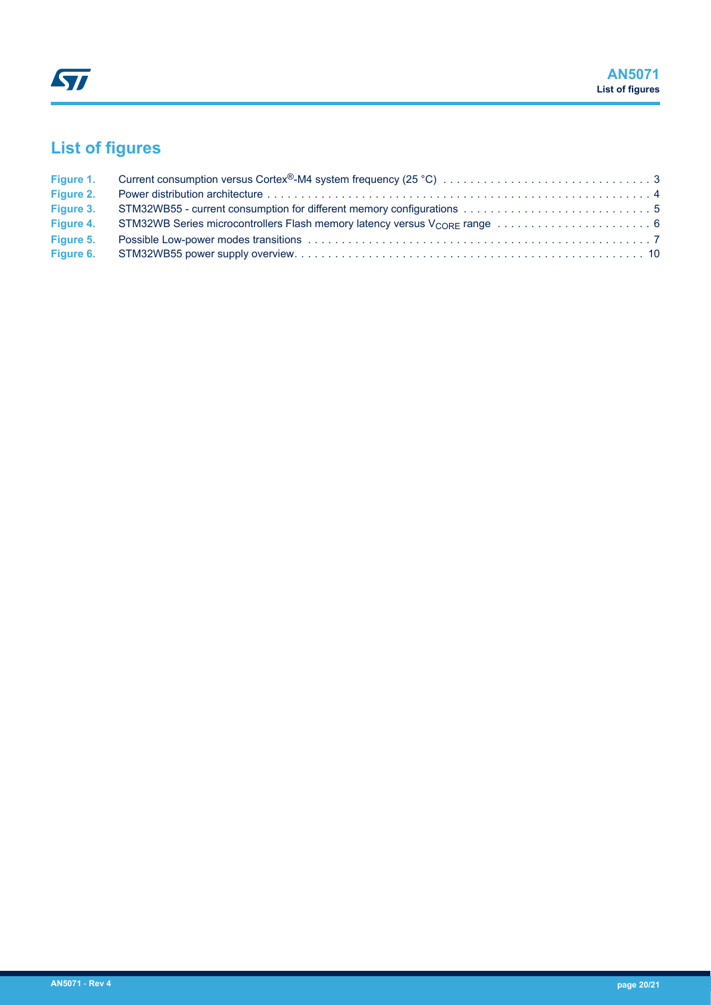# **List of figures**

| Figure 1. |  |
|-----------|--|
| Figure 2. |  |
| Figure 3. |  |
| Figure 4. |  |
| Figure 5. |  |
|           |  |